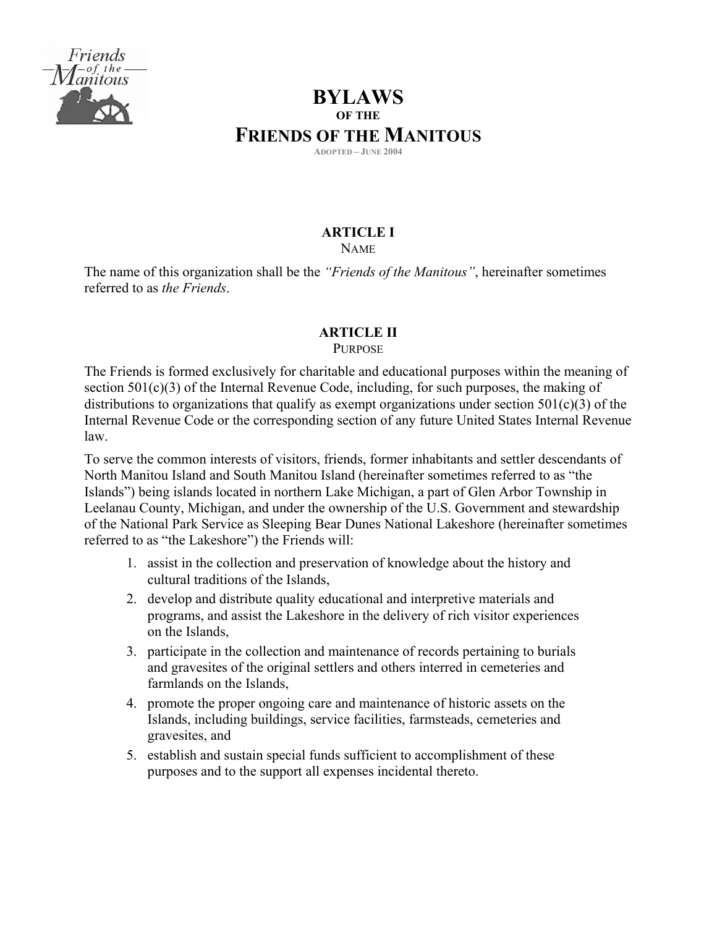

# **BYLAWS OF THE FRIENDS OF THE MANITOUS ADOPTED – JUNE 2004**

# **ARTICLE I**

NAME

The name of this organization shall be the *"Friends of the Manitous"*, hereinafter sometimes referred to as *the Friends*.

# **ARTICLE II**

PURPOSE

The Friends is formed exclusively for charitable and educational purposes within the meaning of section 501(c)(3) of the Internal Revenue Code, including, for such purposes, the making of distributions to organizations that qualify as exempt organizations under section  $501(c)(3)$  of the Internal Revenue Code or the corresponding section of any future United States Internal Revenue law.

To serve the common interests of visitors, friends, former inhabitants and settler descendants of North Manitou Island and South Manitou Island (hereinafter sometimes referred to as "the Islands") being islands located in northern Lake Michigan, a part of Glen Arbor Township in Leelanau County, Michigan, and under the ownership of the U.S. Government and stewardship of the National Park Service as Sleeping Bear Dunes National Lakeshore (hereinafter sometimes referred to as "the Lakeshore") the Friends will:

- 1. assist in the collection and preservation of knowledge about the history and cultural traditions of the Islands,
- 2. develop and distribute quality educational and interpretive materials and programs, and assist the Lakeshore in the delivery of rich visitor experiences on the Islands,
- 3. participate in the collection and maintenance of records pertaining to burials and gravesites of the original settlers and others interred in cemeteries and farmlands on the Islands,
- 4. promote the proper ongoing care and maintenance of historic assets on the Islands, including buildings, service facilities, farmsteads, cemeteries and gravesites, and
- 5. establish and sustain special funds sufficient to accomplishment of these purposes and to the support all expenses incidental thereto.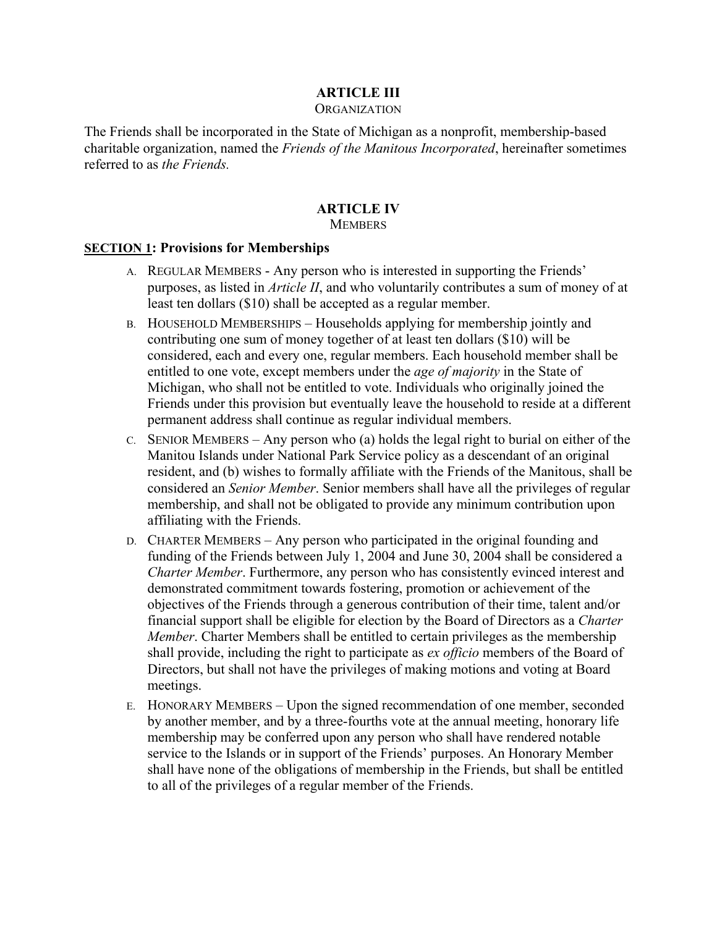# **ARTICLE III**

#### **ORGANIZATION**

The Friends shall be incorporated in the State of Michigan as a nonprofit, membership-based charitable organization, named the *Friends of the Manitous Incorporated*, hereinafter sometimes referred to as *the Friends.*

# **ARTICLE IV**

## **MEMBERS**

### **SECTION 1: Provisions for Memberships**

- A. REGULAR MEMBERS Any person who is interested in supporting the Friends' purposes, as listed in *Article II*, and who voluntarily contributes a sum of money of at least ten dollars (\$10) shall be accepted as a regular member.
- B. HOUSEHOLD MEMBERSHIPS Households applying for membership jointly and contributing one sum of money together of at least ten dollars (\$10) will be considered, each and every one, regular members. Each household member shall be entitled to one vote, except members under the *age of majority* in the State of Michigan, who shall not be entitled to vote. Individuals who originally joined the Friends under this provision but eventually leave the household to reside at a different permanent address shall continue as regular individual members.
- C. SENIOR MEMBERS Any person who (a) holds the legal right to burial on either of the Manitou Islands under National Park Service policy as a descendant of an original resident, and (b) wishes to formally affiliate with the Friends of the Manitous, shall be considered an *Senior Member*. Senior members shall have all the privileges of regular membership, and shall not be obligated to provide any minimum contribution upon affiliating with the Friends.
- D. CHARTER MEMBERS Any person who participated in the original founding and funding of the Friends between July 1, 2004 and June 30, 2004 shall be considered a *Charter Member*. Furthermore, any person who has consistently evinced interest and demonstrated commitment towards fostering, promotion or achievement of the objectives of the Friends through a generous contribution of their time, talent and/or financial support shall be eligible for election by the Board of Directors as a *Charter Member*. Charter Members shall be entitled to certain privileges as the membership shall provide, including the right to participate as *ex officio* members of the Board of Directors, but shall not have the privileges of making motions and voting at Board meetings.
- E. HONORARY MEMBERS Upon the signed recommendation of one member, seconded by another member, and by a three-fourths vote at the annual meeting, honorary life membership may be conferred upon any person who shall have rendered notable service to the Islands or in support of the Friends' purposes. An Honorary Member shall have none of the obligations of membership in the Friends, but shall be entitled to all of the privileges of a regular member of the Friends.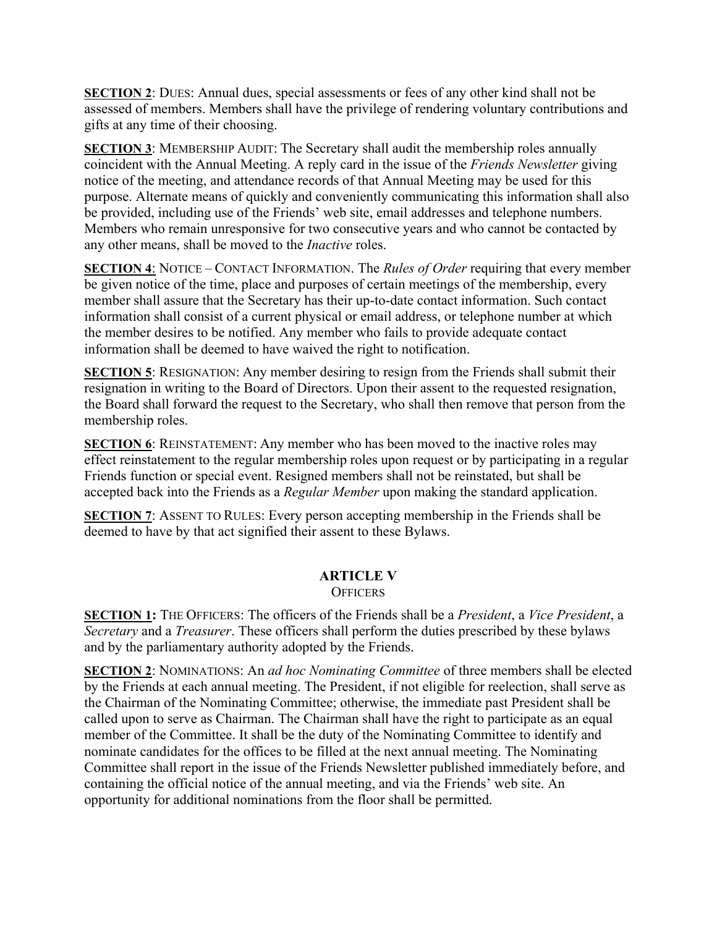**SECTION 2**: DUES: Annual dues, special assessments or fees of any other kind shall not be assessed of members. Members shall have the privilege of rendering voluntary contributions and gifts at any time of their choosing.

**SECTION 3**: MEMBERSHIP AUDIT: The Secretary shall audit the membership roles annually coincident with the Annual Meeting. A reply card in the issue of the *Friends Newsletter* giving notice of the meeting, and attendance records of that Annual Meeting may be used for this purpose. Alternate means of quickly and conveniently communicating this information shall also be provided, including use of the Friends' web site, email addresses and telephone numbers. Members who remain unresponsive for two consecutive years and who cannot be contacted by any other means, shall be moved to the *Inactive* roles.

**SECTION 4**: NOTICE – CONTACT INFORMATION. The *Rules of Order* requiring that every member be given notice of the time, place and purposes of certain meetings of the membership, every member shall assure that the Secretary has their up-to-date contact information. Such contact information shall consist of a current physical or email address, or telephone number at which the member desires to be notified. Any member who fails to provide adequate contact information shall be deemed to have waived the right to notification.

**SECTION 5**: RESIGNATION: Any member desiring to resign from the Friends shall submit their resignation in writing to the Board of Directors. Upon their assent to the requested resignation, the Board shall forward the request to the Secretary, who shall then remove that person from the membership roles.

**SECTION 6**: REINSTATEMENT: Any member who has been moved to the inactive roles may effect reinstatement to the regular membership roles upon request or by participating in a regular Friends function or special event. Resigned members shall not be reinstated, but shall be accepted back into the Friends as a *Regular Member* upon making the standard application.

**SECTION 7:** ASSENT TO RULES: Every person accepting membership in the Friends shall be deemed to have by that act signified their assent to these Bylaws.

#### **ARTICLE V OFFICERS**

**SECTION 1:** THE OFFICERS: The officers of the Friends shall be a *President*, a *Vice President*, a *Secretary* and a *Treasurer*. These officers shall perform the duties prescribed by these bylaws and by the parliamentary authority adopted by the Friends.

**SECTION 2**: NOMINATIONS: An *ad hoc Nominating Committee* of three members shall be elected by the Friends at each annual meeting. The President, if not eligible for reelection, shall serve as the Chairman of the Nominating Committee; otherwise, the immediate past President shall be called upon to serve as Chairman. The Chairman shall have the right to participate as an equal member of the Committee. It shall be the duty of the Nominating Committee to identify and nominate candidates for the offices to be filled at the next annual meeting. The Nominating Committee shall report in the issue of the Friends Newsletter published immediately before, and containing the official notice of the annual meeting, and via the Friends' web site. An opportunity for additional nominations from the floor shall be permitted.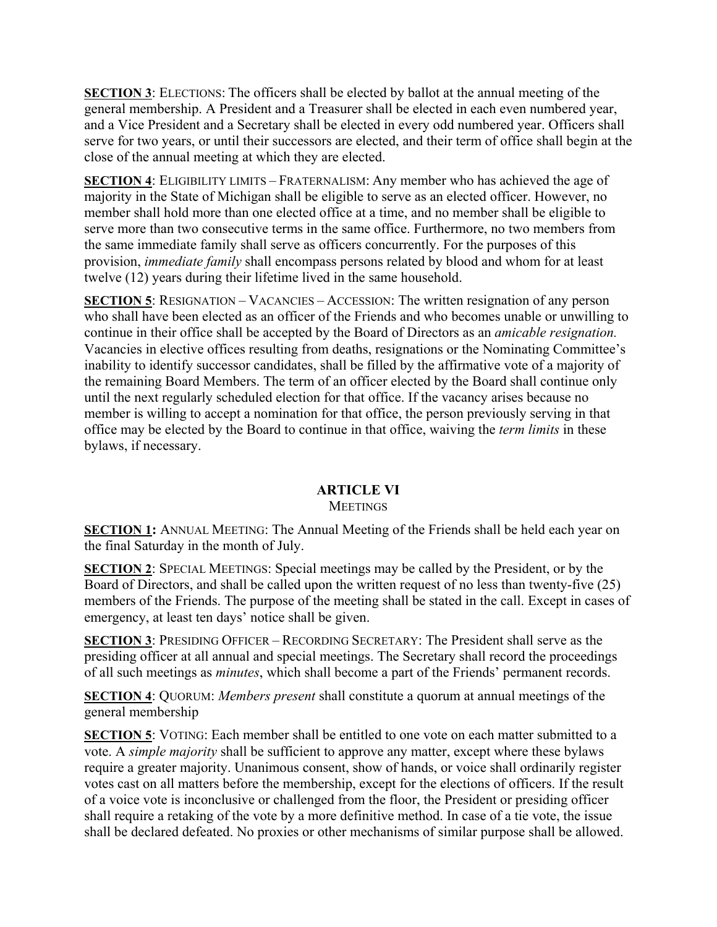**SECTION 3**: ELECTIONS: The officers shall be elected by ballot at the annual meeting of the general membership. A President and a Treasurer shall be elected in each even numbered year, and a Vice President and a Secretary shall be elected in every odd numbered year. Officers shall serve for two years, or until their successors are elected, and their term of office shall begin at the close of the annual meeting at which they are elected.

**SECTION 4**: ELIGIBILITY LIMITS – FRATERNALISM: Any member who has achieved the age of majority in the State of Michigan shall be eligible to serve as an elected officer. However, no member shall hold more than one elected office at a time, and no member shall be eligible to serve more than two consecutive terms in the same office. Furthermore, no two members from the same immediate family shall serve as officers concurrently. For the purposes of this provision, *immediate family* shall encompass persons related by blood and whom for at least twelve (12) years during their lifetime lived in the same household.

**SECTION 5**: RESIGNATION – VACANCIES – ACCESSION: The written resignation of any person who shall have been elected as an officer of the Friends and who becomes unable or unwilling to continue in their office shall be accepted by the Board of Directors as an *amicable resignation.* Vacancies in elective offices resulting from deaths, resignations or the Nominating Committee's inability to identify successor candidates, shall be filled by the affirmative vote of a majority of the remaining Board Members. The term of an officer elected by the Board shall continue only until the next regularly scheduled election for that office. If the vacancy arises because no member is willing to accept a nomination for that office, the person previously serving in that office may be elected by the Board to continue in that office, waiving the *term limits* in these bylaws, if necessary.

# **ARTICLE VI**

## **MEETINGS**

**SECTION 1:** ANNUAL MEETING: The Annual Meeting of the Friends shall be held each year on the final Saturday in the month of July.

**SECTION 2**: SPECIAL MEETINGS: Special meetings may be called by the President, or by the Board of Directors, and shall be called upon the written request of no less than twenty-five (25) members of the Friends. The purpose of the meeting shall be stated in the call. Except in cases of emergency, at least ten days' notice shall be given.

**SECTION 3**: PRESIDING OFFICER – RECORDING SECRETARY: The President shall serve as the presiding officer at all annual and special meetings. The Secretary shall record the proceedings of all such meetings as *minutes*, which shall become a part of the Friends' permanent records.

**SECTION 4**: QUORUM: *Members present* shall constitute a quorum at annual meetings of the general membership

**SECTION 5**: VOTING: Each member shall be entitled to one vote on each matter submitted to a vote. A *simple majority* shall be sufficient to approve any matter, except where these bylaws require a greater majority. Unanimous consent, show of hands, or voice shall ordinarily register votes cast on all matters before the membership, except for the elections of officers. If the result of a voice vote is inconclusive or challenged from the floor, the President or presiding officer shall require a retaking of the vote by a more definitive method. In case of a tie vote, the issue shall be declared defeated. No proxies or other mechanisms of similar purpose shall be allowed.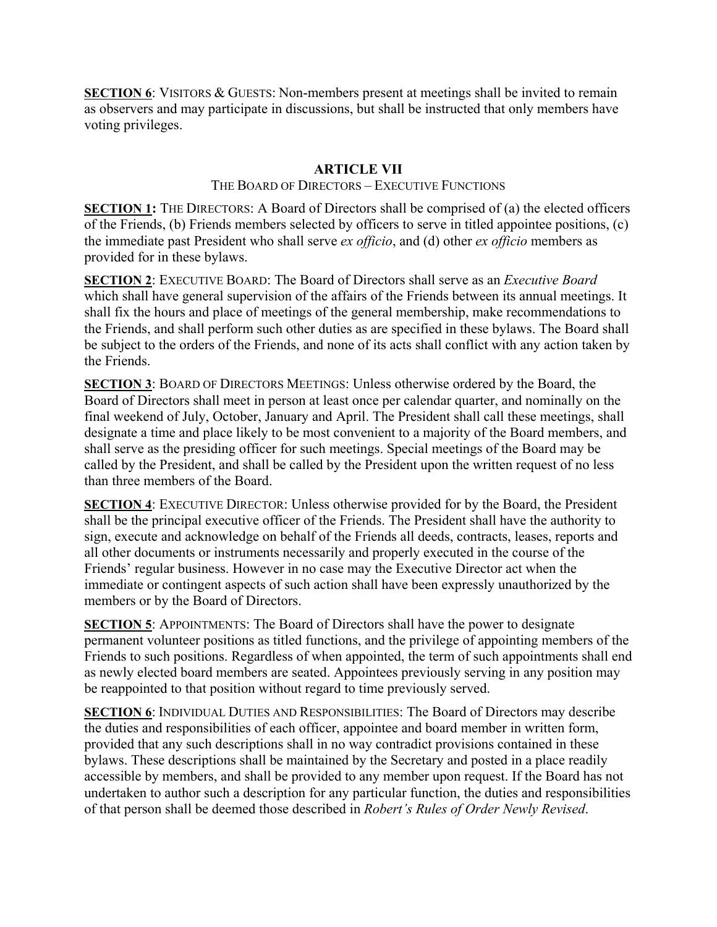**SECTION 6:** VISITORS & GUESTS: Non-members present at meetings shall be invited to remain as observers and may participate in discussions, but shall be instructed that only members have voting privileges.

# **ARTICLE VII**

## THE BOARD OF DIRECTORS – EXECUTIVE FUNCTIONS

**SECTION 1:** THE DIRECTORS: A Board of Directors shall be comprised of (a) the elected officers of the Friends, (b) Friends members selected by officers to serve in titled appointee positions, (c) the immediate past President who shall serve *ex officio*, and (d) other *ex officio* members as provided for in these bylaws.

**SECTION 2**: EXECUTIVE BOARD: The Board of Directors shall serve as an *Executive Board* which shall have general supervision of the affairs of the Friends between its annual meetings. It shall fix the hours and place of meetings of the general membership, make recommendations to the Friends, and shall perform such other duties as are specified in these bylaws. The Board shall be subject to the orders of the Friends, and none of its acts shall conflict with any action taken by the Friends.

**SECTION 3**: BOARD OF DIRECTORS MEETINGS: Unless otherwise ordered by the Board, the Board of Directors shall meet in person at least once per calendar quarter, and nominally on the final weekend of July, October, January and April. The President shall call these meetings, shall designate a time and place likely to be most convenient to a majority of the Board members, and shall serve as the presiding officer for such meetings. Special meetings of the Board may be called by the President, and shall be called by the President upon the written request of no less than three members of the Board.

**SECTION 4**: EXECUTIVE DIRECTOR: Unless otherwise provided for by the Board, the President shall be the principal executive officer of the Friends. The President shall have the authority to sign, execute and acknowledge on behalf of the Friends all deeds, contracts, leases, reports and all other documents or instruments necessarily and properly executed in the course of the Friends' regular business. However in no case may the Executive Director act when the immediate or contingent aspects of such action shall have been expressly unauthorized by the members or by the Board of Directors.

**SECTION 5**: APPOINTMENTS: The Board of Directors shall have the power to designate permanent volunteer positions as titled functions, and the privilege of appointing members of the Friends to such positions. Regardless of when appointed, the term of such appointments shall end as newly elected board members are seated. Appointees previously serving in any position may be reappointed to that position without regard to time previously served.

**SECTION 6**: INDIVIDUAL DUTIES AND RESPONSIBILITIES: The Board of Directors may describe the duties and responsibilities of each officer, appointee and board member in written form, provided that any such descriptions shall in no way contradict provisions contained in these bylaws. These descriptions shall be maintained by the Secretary and posted in a place readily accessible by members, and shall be provided to any member upon request. If the Board has not undertaken to author such a description for any particular function, the duties and responsibilities of that person shall be deemed those described in *Robert's Rules of Order Newly Revised*.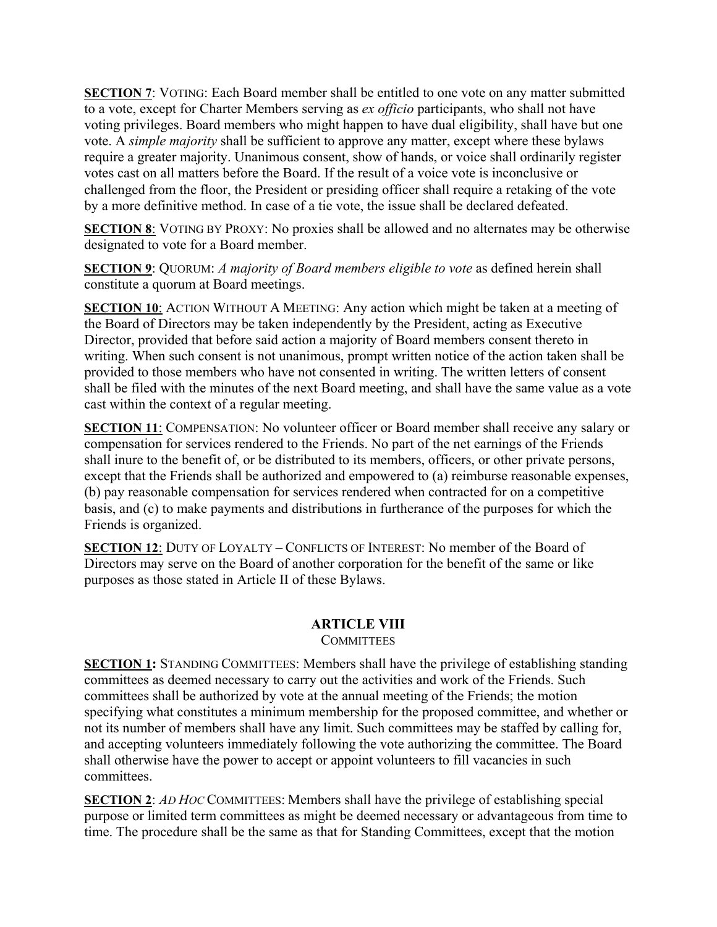**SECTION 7**: VOTING: Each Board member shall be entitled to one vote on any matter submitted to a vote, except for Charter Members serving as *ex officio* participants, who shall not have voting privileges. Board members who might happen to have dual eligibility, shall have but one vote. A *simple majority* shall be sufficient to approve any matter, except where these bylaws require a greater majority. Unanimous consent, show of hands, or voice shall ordinarily register votes cast on all matters before the Board. If the result of a voice vote is inconclusive or challenged from the floor, the President or presiding officer shall require a retaking of the vote by a more definitive method. In case of a tie vote, the issue shall be declared defeated.

**SECTION 8**: VOTING BY PROXY: No proxies shall be allowed and no alternates may be otherwise designated to vote for a Board member.

**SECTION 9**: QUORUM: *A majority of Board members eligible to vote* as defined herein shall constitute a quorum at Board meetings.

**SECTION 10:** ACTION WITHOUT A MEETING: Any action which might be taken at a meeting of the Board of Directors may be taken independently by the President, acting as Executive Director, provided that before said action a majority of Board members consent thereto in writing. When such consent is not unanimous, prompt written notice of the action taken shall be provided to those members who have not consented in writing. The written letters of consent shall be filed with the minutes of the next Board meeting, and shall have the same value as a vote cast within the context of a regular meeting.

**SECTION 11**: COMPENSATION: No volunteer officer or Board member shall receive any salary or compensation for services rendered to the Friends. No part of the net earnings of the Friends shall inure to the benefit of, or be distributed to its members, officers, or other private persons, except that the Friends shall be authorized and empowered to (a) reimburse reasonable expenses, (b) pay reasonable compensation for services rendered when contracted for on a competitive basis, and (c) to make payments and distributions in furtherance of the purposes for which the Friends is organized.

**SECTION 12**: DUTY OF LOYALTY – CONFLICTS OF INTEREST: No member of the Board of Directors may serve on the Board of another corporation for the benefit of the same or like purposes as those stated in Article II of these Bylaws.

# **ARTICLE VIII**

**COMMITTEES** 

**SECTION 1:** STANDING COMMITTEES: Members shall have the privilege of establishing standing committees as deemed necessary to carry out the activities and work of the Friends. Such committees shall be authorized by vote at the annual meeting of the Friends; the motion specifying what constitutes a minimum membership for the proposed committee, and whether or not its number of members shall have any limit. Such committees may be staffed by calling for, and accepting volunteers immediately following the vote authorizing the committee. The Board shall otherwise have the power to accept or appoint volunteers to fill vacancies in such committees.

**SECTION 2**: *AD HOC* COMMITTEES: Members shall have the privilege of establishing special purpose or limited term committees as might be deemed necessary or advantageous from time to time. The procedure shall be the same as that for Standing Committees, except that the motion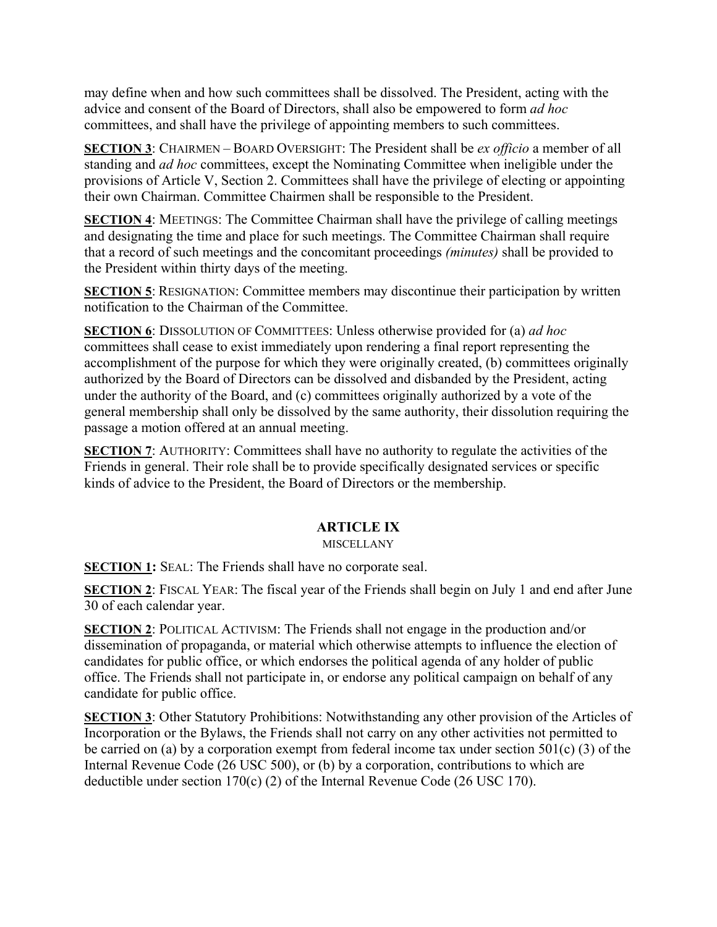may define when and how such committees shall be dissolved. The President, acting with the advice and consent of the Board of Directors, shall also be empowered to form *ad hoc* committees, and shall have the privilege of appointing members to such committees.

**SECTION 3**: CHAIRMEN – BOARD OVERSIGHT: The President shall be *ex officio* a member of all standing and *ad hoc* committees, except the Nominating Committee when ineligible under the provisions of Article V, Section 2. Committees shall have the privilege of electing or appointing their own Chairman. Committee Chairmen shall be responsible to the President.

**SECTION 4**: MEETINGS: The Committee Chairman shall have the privilege of calling meetings and designating the time and place for such meetings. The Committee Chairman shall require that a record of such meetings and the concomitant proceedings *(minutes)* shall be provided to the President within thirty days of the meeting.

**SECTION 5**: RESIGNATION: Committee members may discontinue their participation by written notification to the Chairman of the Committee.

**SECTION 6**: DISSOLUTION OF COMMITTEES: Unless otherwise provided for (a) *ad hoc* committees shall cease to exist immediately upon rendering a final report representing the accomplishment of the purpose for which they were originally created, (b) committees originally authorized by the Board of Directors can be dissolved and disbanded by the President, acting under the authority of the Board, and (c) committees originally authorized by a vote of the general membership shall only be dissolved by the same authority, their dissolution requiring the passage a motion offered at an annual meeting.

**SECTION 7:** AUTHORITY: Committees shall have no authority to regulate the activities of the Friends in general. Their role shall be to provide specifically designated services or specific kinds of advice to the President, the Board of Directors or the membership.

# **ARTICLE IX**

## MISCELLANY

**SECTION 1:** SEAL: The Friends shall have no corporate seal.

**SECTION 2**: FISCAL YEAR: The fiscal year of the Friends shall begin on July 1 and end after June 30 of each calendar year.

**SECTION 2**: POLITICAL ACTIVISM: The Friends shall not engage in the production and/or dissemination of propaganda, or material which otherwise attempts to influence the election of candidates for public office, or which endorses the political agenda of any holder of public office. The Friends shall not participate in, or endorse any political campaign on behalf of any candidate for public office.

**SECTION 3**: Other Statutory Prohibitions: Notwithstanding any other provision of the Articles of Incorporation or the Bylaws, the Friends shall not carry on any other activities not permitted to be carried on (a) by a corporation exempt from federal income tax under section  $501(c)$  (3) of the Internal Revenue Code (26 USC 500), or (b) by a corporation, contributions to which are deductible under section 170(c) (2) of the Internal Revenue Code (26 USC 170).